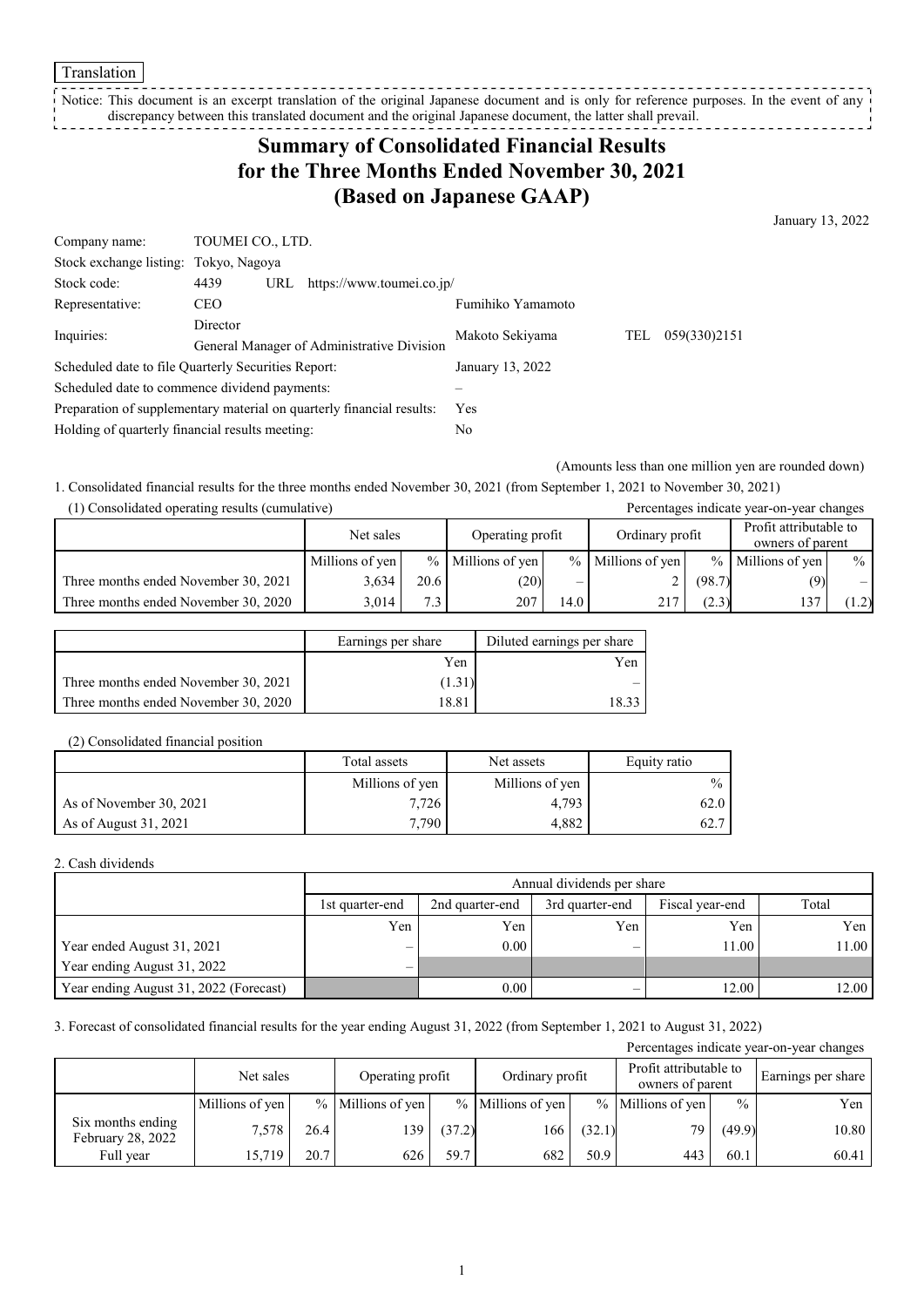Translation

Notice: This document is an excerpt translation of the original Japanese document and is only for reference purposes. In the event of any discrepancy between this translated document and the original Japanese document, the latter shall prevail. --------------

# **Summary of Consolidated Financial Results for the Three Months Ended November 30, 2021 (Based on Japanese GAAP)**

January 13, 2022

| Company name:                                                         |                                            | TOUMEI CO., LTD. |                  |                 |     |              |  |  |
|-----------------------------------------------------------------------|--------------------------------------------|------------------|------------------|-----------------|-----|--------------|--|--|
| Stock exchange listing: Tokyo, Nagoya                                 |                                            |                  |                  |                 |     |              |  |  |
| Stock code:                                                           | 4439<br>https://www.toumei.co.jp/<br>URL   |                  |                  |                 |     |              |  |  |
| Representative:                                                       | Fumihiko Yamamoto<br>CEO.                  |                  |                  |                 |     |              |  |  |
| Inquiries:                                                            | Director                                   |                  |                  | Makoto Sekiyama | TEL | 059(330)2151 |  |  |
|                                                                       | General Manager of Administrative Division |                  |                  |                 |     |              |  |  |
| Scheduled date to file Quarterly Securities Report:                   |                                            |                  | January 13, 2022 |                 |     |              |  |  |
| Scheduled date to commence dividend payments:                         |                                            |                  |                  |                 |     |              |  |  |
| Preparation of supplementary material on quarterly financial results: |                                            |                  | <b>Yes</b>       |                 |     |              |  |  |
| Holding of quarterly financial results meeting:<br>No                 |                                            |                  |                  |                 |     |              |  |  |

(Amounts less than one million yen are rounded down)

1. Consolidated financial results for the three months ended November 30, 2021 (from September 1, 2021 to November 30, 2021) (1) Consolidated operating results (cumulative) Percentages indicate year-on-year changes

| 1) Consolidated operating results (culturalive) |                 |      |                     |      |                     |        | I creentages indicate year-on-year changes |       |
|-------------------------------------------------|-----------------|------|---------------------|------|---------------------|--------|--------------------------------------------|-------|
|                                                 | Net sales       |      | Operating profit    |      | Ordinary profit     |        | Profit attributable to<br>owners of parent |       |
|                                                 | Millions of yen |      | $%$ Millions of yen |      | $%$ Millions of yen |        | % Millions of yen                          | $\%$  |
| Three months ended November 30, 2021            | 3,634           | 20.6 | (20)                |      |                     | (98.7) | (9)                                        |       |
| Three months ended November 30, 2020            | 3.014           | 7.3  | 207                 | 14.0 | 217                 | (2.3)  |                                            | (1.2) |

|                                      | Earnings per share | Diluted earnings per share |
|--------------------------------------|--------------------|----------------------------|
|                                      | Yen                | Yen                        |
| Three months ended November 30, 2021 | (1.31)             |                            |
| Three months ended November 30, 2020 | 18.81              | 1932                       |

(2) Consolidated financial position

|                         | Total assets<br>Net assets |                 | Equity ratio  |  |
|-------------------------|----------------------------|-----------------|---------------|--|
|                         | Millions of yen            | Millions of yen | $\frac{0}{0}$ |  |
| As of November 30, 2021 | 7.726                      | 4,793           | 62.0          |  |
| As of August 31, 2021   | 7.790                      | 4.882           | 62.7          |  |

#### 2. Cash dividends

|                                        |                            | Annual dividends per share |                 |                 |       |  |  |  |
|----------------------------------------|----------------------------|----------------------------|-----------------|-----------------|-------|--|--|--|
|                                        | 1st quarter-end            | 2nd quarter-end            | 3rd quarter-end | Fiscal year-end | Total |  |  |  |
|                                        | Yen                        | Yen                        | Yen             | Yen             | Yen l |  |  |  |
| Year ended August 31, 2021             | $\overline{\phantom{m}}$   | 0.00                       | –               | 11.00           | 11.00 |  |  |  |
| Year ending August 31, 2022            | $\qquad \qquad \  \  \, -$ |                            |                 |                 |       |  |  |  |
| Year ending August 31, 2022 (Forecast) |                            | 0.00                       | _               | 12.00           | 12.00 |  |  |  |

3. Forecast of consolidated financial results for the year ending August 31, 2022 (from September 1, 2021 to August 31, 2022)

| Percentages indicate year-on-year changes     |                 |      |                   |                                     |                     |                                            |                     |               |                    |
|-----------------------------------------------|-----------------|------|-------------------|-------------------------------------|---------------------|--------------------------------------------|---------------------|---------------|--------------------|
|                                               | Net sales       |      |                   | Ordinary profit<br>Operating profit |                     | Profit attributable to<br>owners of parent |                     |               | Earnings per share |
|                                               | Millions of yen |      | % Millions of yen |                                     | $%$ Millions of yen |                                            | $%$ Millions of yen | $\frac{0}{0}$ | Yen                |
| Six months ending<br><b>February 28, 2022</b> | 7.578           | 26.4 | 139               | (37.2)                              | 166                 | (32.1)                                     | 79                  | (49.9)        | 10.80              |
| Full year                                     | 15.719          | 20.7 | 626               | 59.7                                | 682                 | 50.9                                       | 443                 | 60.1          | 60.41              |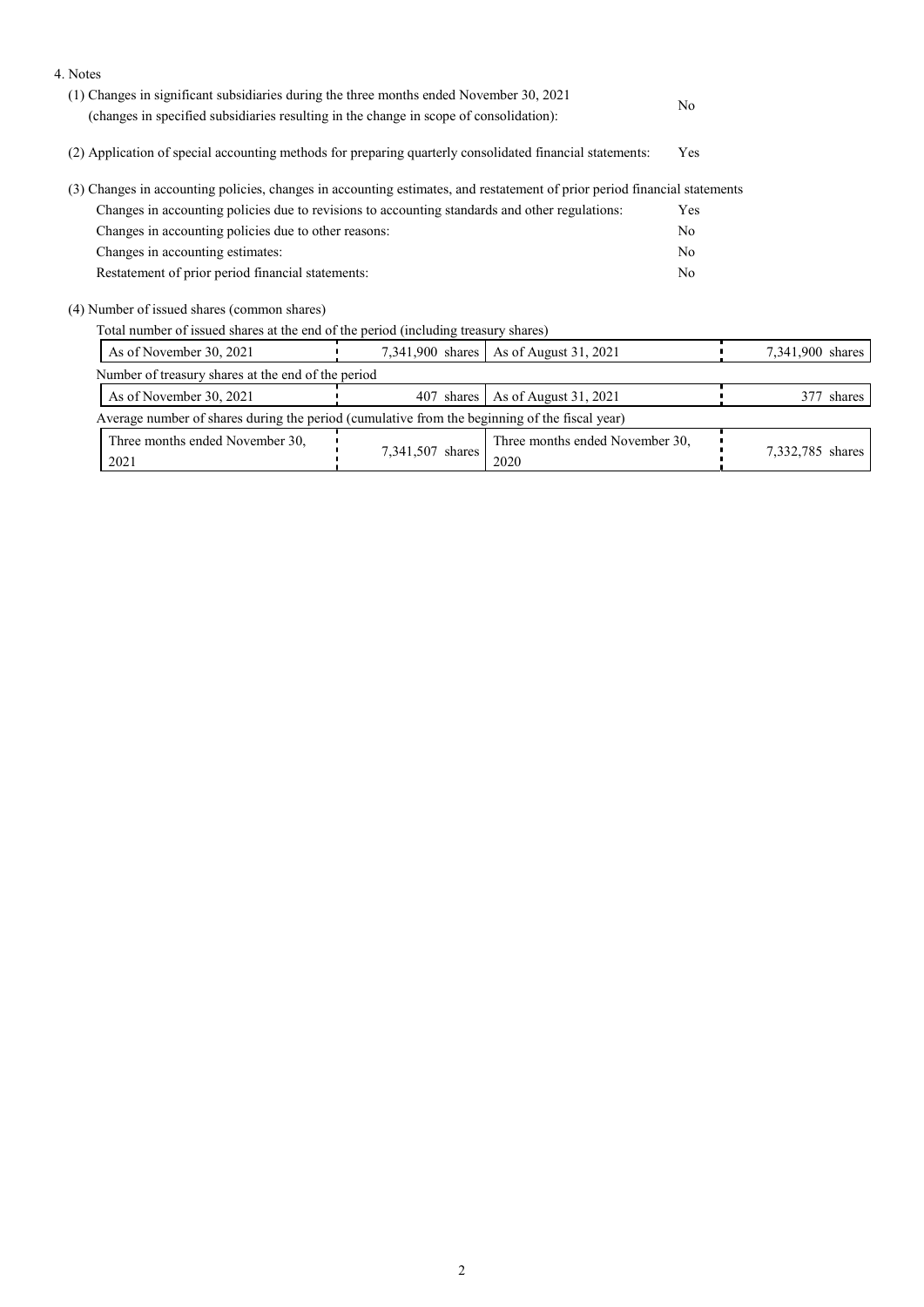| 4. Notes                                                                                                                  |                                                                                        |                                 |     |                  |  |
|---------------------------------------------------------------------------------------------------------------------------|----------------------------------------------------------------------------------------|---------------------------------|-----|------------------|--|
| (1) Changes in significant subsidiaries during the three months ended November 30, 2021                                   |                                                                                        |                                 | No  |                  |  |
|                                                                                                                           | (changes in specified subsidiaries resulting in the change in scope of consolidation): |                                 |     |                  |  |
| (2) Application of special accounting methods for preparing quarterly consolidated financial statements:                  | <b>Yes</b>                                                                             |                                 |     |                  |  |
| (3) Changes in accounting policies, changes in accounting estimates, and restatement of prior period financial statements |                                                                                        |                                 |     |                  |  |
| Changes in accounting policies due to revisions to accounting standards and other regulations:                            |                                                                                        |                                 | Yes |                  |  |
| Changes in accounting policies due to other reasons:                                                                      | No                                                                                     |                                 |     |                  |  |
| Changes in accounting estimates:                                                                                          | No                                                                                     |                                 |     |                  |  |
| Restatement of prior period financial statements:                                                                         |                                                                                        |                                 |     |                  |  |
| (4) Number of issued shares (common shares)                                                                               |                                                                                        |                                 |     |                  |  |
| Total number of issued shares at the end of the period (including treasury shares)                                        |                                                                                        |                                 |     |                  |  |
| As of November 30, 2021                                                                                                   | 7,341,900 shares                                                                       | As of August 31, 2021           |     | 7,341,900 shares |  |
| Number of treasury shares at the end of the period                                                                        |                                                                                        |                                 |     |                  |  |
| As of November 30, 2021                                                                                                   |                                                                                        | 377 shares                      |     |                  |  |
| Average number of shares during the period (cumulative from the beginning of the fiscal year)                             |                                                                                        |                                 |     |                  |  |
| Three months ended November 30,                                                                                           |                                                                                        | Three months ended November 30, |     |                  |  |
| 7,341,507 shares<br>2021<br>2020                                                                                          |                                                                                        |                                 |     | 7,332,785 shares |  |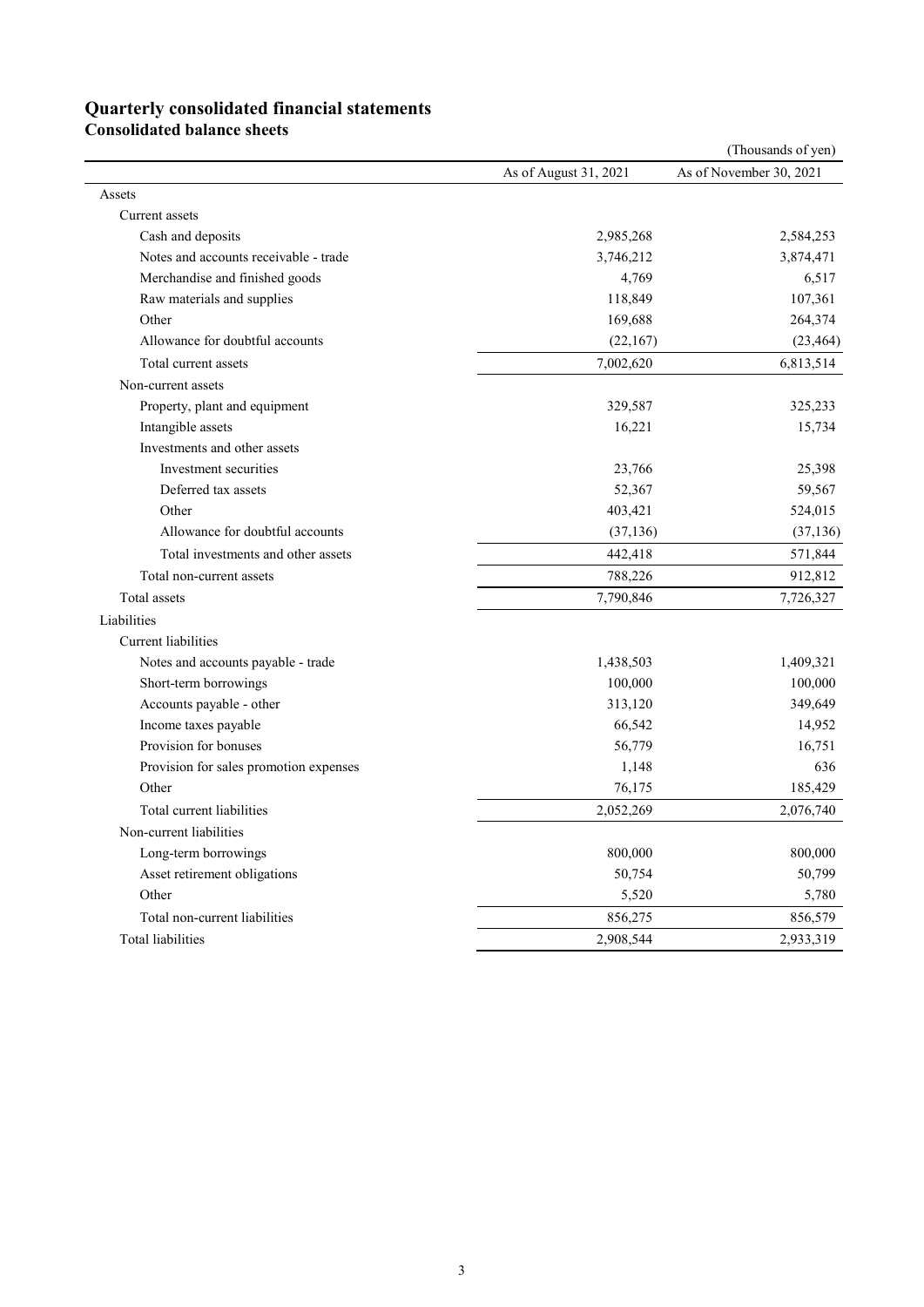## **Quarterly consolidated financial statements**

**Consolidated balance sheets** 

|                                        |                       | (Thousands of yen)      |
|----------------------------------------|-----------------------|-------------------------|
|                                        | As of August 31, 2021 | As of November 30, 2021 |
| Assets                                 |                       |                         |
| Current assets                         |                       |                         |
| Cash and deposits                      | 2,985,268             | 2,584,253               |
| Notes and accounts receivable - trade  | 3,746,212             | 3,874,471               |
| Merchandise and finished goods         | 4,769                 | 6,517                   |
| Raw materials and supplies             | 118,849               | 107,361                 |
| Other                                  | 169,688               | 264,374                 |
| Allowance for doubtful accounts        | (22,167)              | (23, 464)               |
| Total current assets                   | 7,002,620             | 6,813,514               |
| Non-current assets                     |                       |                         |
| Property, plant and equipment          | 329,587               | 325,233                 |
| Intangible assets                      | 16,221                | 15,734                  |
| Investments and other assets           |                       |                         |
| Investment securities                  | 23,766                | 25,398                  |
| Deferred tax assets                    | 52,367                | 59,567                  |
| Other                                  | 403,421               | 524,015                 |
| Allowance for doubtful accounts        | (37, 136)             | (37, 136)               |
| Total investments and other assets     | 442,418               | 571,844                 |
| Total non-current assets               | 788,226               | 912,812                 |
| Total assets                           | 7,790,846             | 7,726,327               |
| Liabilities                            |                       |                         |
| <b>Current</b> liabilities             |                       |                         |
| Notes and accounts payable - trade     | 1,438,503             | 1,409,321               |
| Short-term borrowings                  | 100,000               | 100,000                 |
| Accounts payable - other               | 313,120               | 349,649                 |
| Income taxes payable                   | 66,542                | 14,952                  |
| Provision for bonuses                  | 56,779                | 16,751                  |
| Provision for sales promotion expenses | 1,148                 | 636                     |
| Other                                  | 76,175                | 185,429                 |
| Total current liabilities              | 2,052,269             | 2,076,740               |
| Non-current liabilities                |                       |                         |
| Long-term borrowings                   | 800,000               | 800,000                 |
| Asset retirement obligations           | 50,754                | 50,799                  |
| Other                                  | 5,520                 | 5,780                   |
| Total non-current liabilities          | 856,275               | 856,579                 |
| Total liabilities                      | 2,908,544             | 2,933,319               |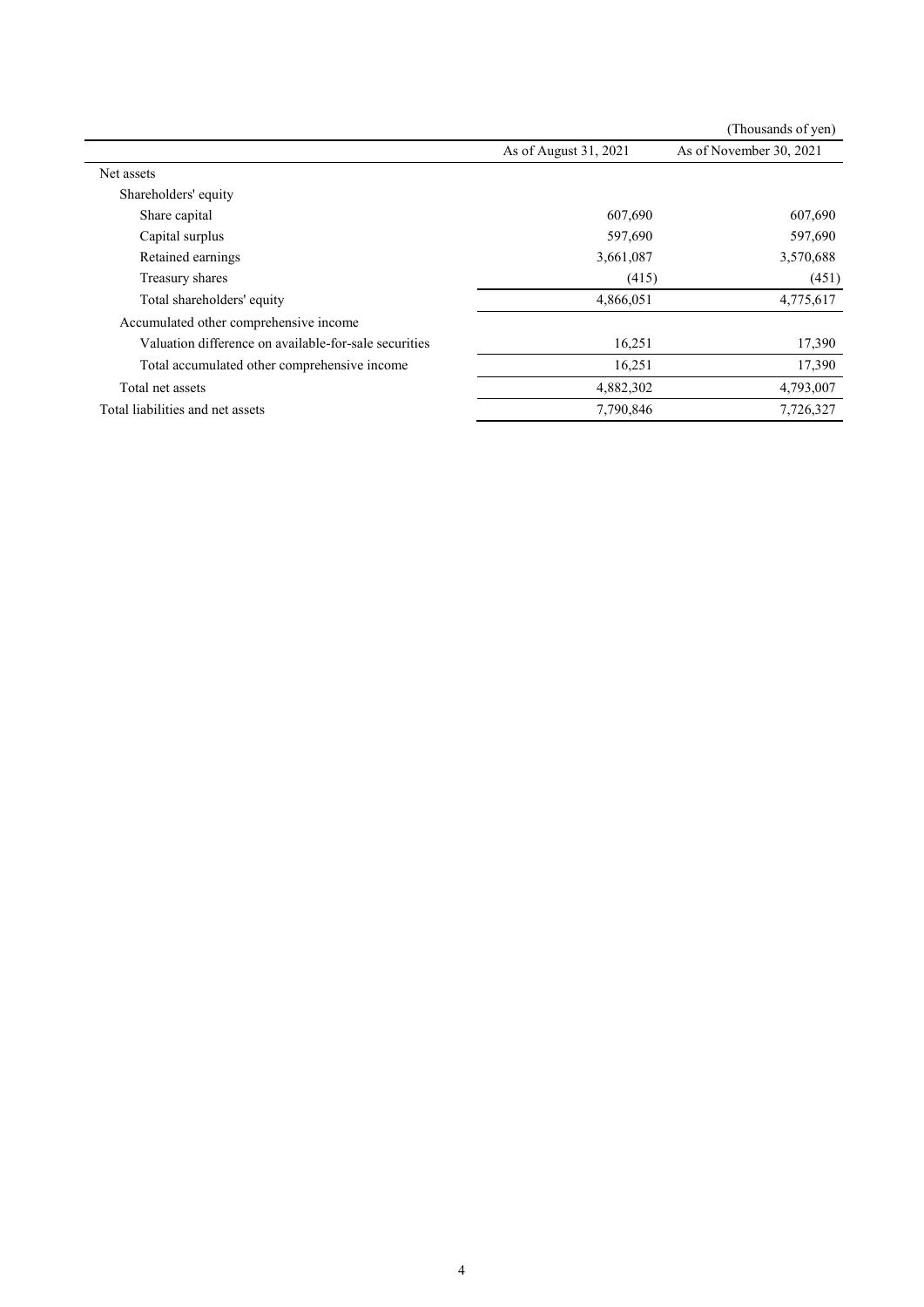|                                                       |                       | (Thousands of yen)      |
|-------------------------------------------------------|-----------------------|-------------------------|
|                                                       | As of August 31, 2021 | As of November 30, 2021 |
| Net assets                                            |                       |                         |
| Shareholders' equity                                  |                       |                         |
| Share capital                                         | 607,690               | 607,690                 |
| Capital surplus                                       | 597,690               | 597,690                 |
| Retained earnings                                     | 3,661,087             | 3,570,688               |
| Treasury shares                                       | (415)                 | (451)                   |
| Total shareholders' equity                            | 4,866,051             | 4,775,617               |
| Accumulated other comprehensive income                |                       |                         |
| Valuation difference on available-for-sale securities | 16,251                | 17,390                  |
| Total accumulated other comprehensive income          | 16,251                | 17,390                  |
| Total net assets                                      | 4,882,302             | 4,793,007               |
| Total liabilities and net assets                      | 7,790,846             | 7,726,327               |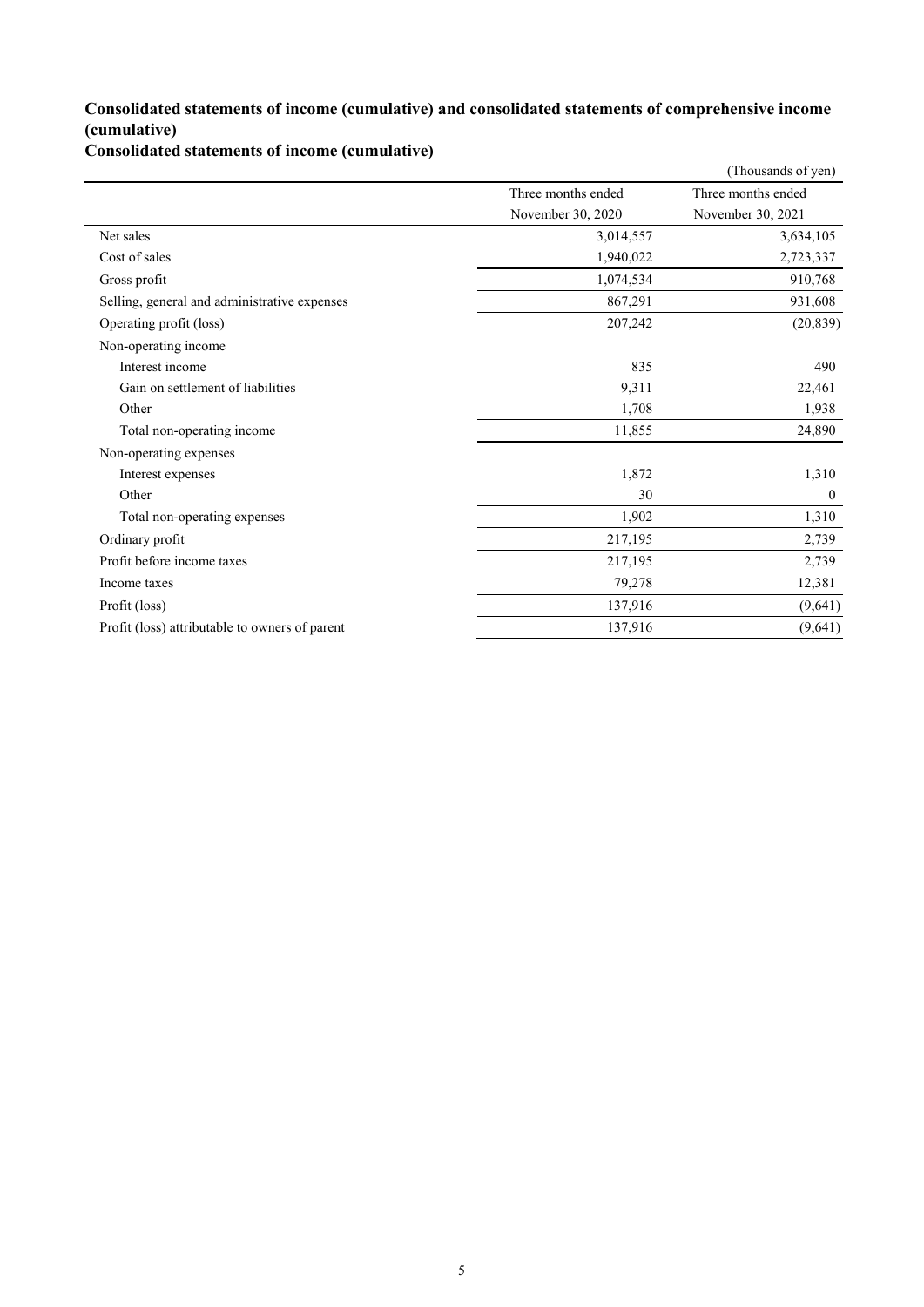#### **Consolidated statements of income (cumulative) and consolidated statements of comprehensive income (cumulative)**

**Consolidated statements of income (cumulative)**

|                                                |                    | (Thousands of yen) |
|------------------------------------------------|--------------------|--------------------|
|                                                | Three months ended | Three months ended |
|                                                | November 30, 2020  | November 30, 2021  |
| Net sales                                      | 3,014,557          | 3,634,105          |
| Cost of sales                                  | 1,940,022          | 2,723,337          |
| Gross profit                                   | 1,074,534          | 910,768            |
| Selling, general and administrative expenses   | 867,291            | 931,608            |
| Operating profit (loss)                        | 207,242            | (20, 839)          |
| Non-operating income                           |                    |                    |
| Interest income                                | 835                | 490                |
| Gain on settlement of liabilities              | 9,311              | 22,461             |
| Other                                          | 1,708              | 1,938              |
| Total non-operating income                     | 11,855             | 24,890             |
| Non-operating expenses                         |                    |                    |
| Interest expenses                              | 1,872              | 1,310              |
| Other                                          | 30                 | $\mathbf{0}$       |
| Total non-operating expenses                   | 1,902              | 1,310              |
| Ordinary profit                                | 217,195            | 2,739              |
| Profit before income taxes                     | 217,195            | 2,739              |
| Income taxes                                   | 79,278             | 12,381             |
| Profit (loss)                                  | 137,916            | (9,641)            |
| Profit (loss) attributable to owners of parent | 137,916            | (9,641)            |